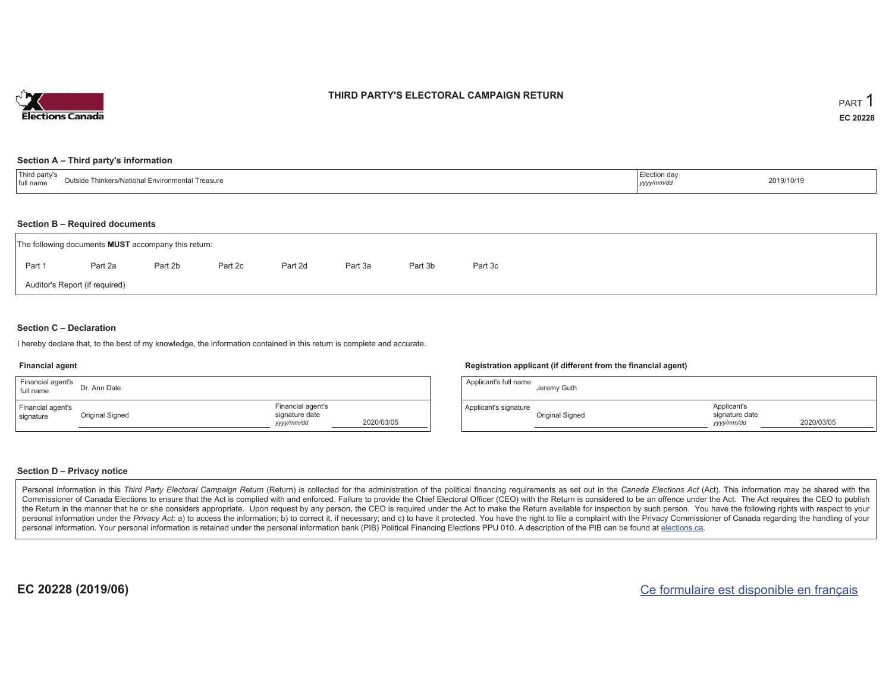

## **THIRD PARTY'S ELECTORAL CAMPAIGN RETURN**

#### **Section A – Third party's information**

| $-1$<br>party'<br>outside.<br>Thinkers/National Environmental Treasure<br>I full name | Election dav<br>2019/10/19<br>-------<br>уууулттиа |  |
|---------------------------------------------------------------------------------------|----------------------------------------------------|--|
|---------------------------------------------------------------------------------------|----------------------------------------------------|--|

#### **Section B – Required documents**

|                                | The following documents <b>MUST</b> accompany this return: |         |         |         |         |         |         |  |  |  |  |
|--------------------------------|------------------------------------------------------------|---------|---------|---------|---------|---------|---------|--|--|--|--|
| Part 1                         | Part 2a                                                    | Part 2b | Part 2c | Part 2d | Part 3a | Part 3b | Part 3c |  |  |  |  |
| Auditor's Report (if required) |                                                            |         |         |         |         |         |         |  |  |  |  |

### **Section C – Declaration**

I hereby declare that, to the best of my knowledge, the information contained in this return is complete and accurate.

#### **Financial agent**

| Financial agent's<br>full name | Dr. Ann Dale    |                                                                 | A  |
|--------------------------------|-----------------|-----------------------------------------------------------------|----|
| Financial agent's<br>signature | Original Signed | Financial agent's<br>signature date<br>2020/03/05<br>yyyy/mm/dd | Ap |

#### **Registration applicant (if different from the financial agent)**

| Applicant's full name | Jeremy Guth     |                                             |            |
|-----------------------|-----------------|---------------------------------------------|------------|
| Applicant's signature | Original Signed | Applicant's<br>signature date<br>yyyy/mm/dd | 2020/03/05 |

### **Section D – Privacy notice**

Personal information in this Third Party Electoral Campaign Return (Return) is collected for the administration of the political financing requirements as set out in the Canada Elections Act (Act). This information may be Commissioner of Canada Elections to ensure that the Act is complied with and enforced. Failure to provide the Chief Electoral Officer (CEO) with the Return is considered to be an offence under the Act. The Act requires the the Return in the manner that he or she considers appropriate. Upon request by any person, the CEO is required under the Act to make the Return available for inspection by such person. You have the following rights with re personal information under the Privacy Act: a) to access the information; b) to correct it, if necessary; and c) to have it protected. You have the right to file a complaint with the Privacy Commissioner of Canada regardin personal information. Your personal information is retained under the personal information bank (PIB) Political Financing Elections PPU 010. A description of the PIB can be found at elections.ca.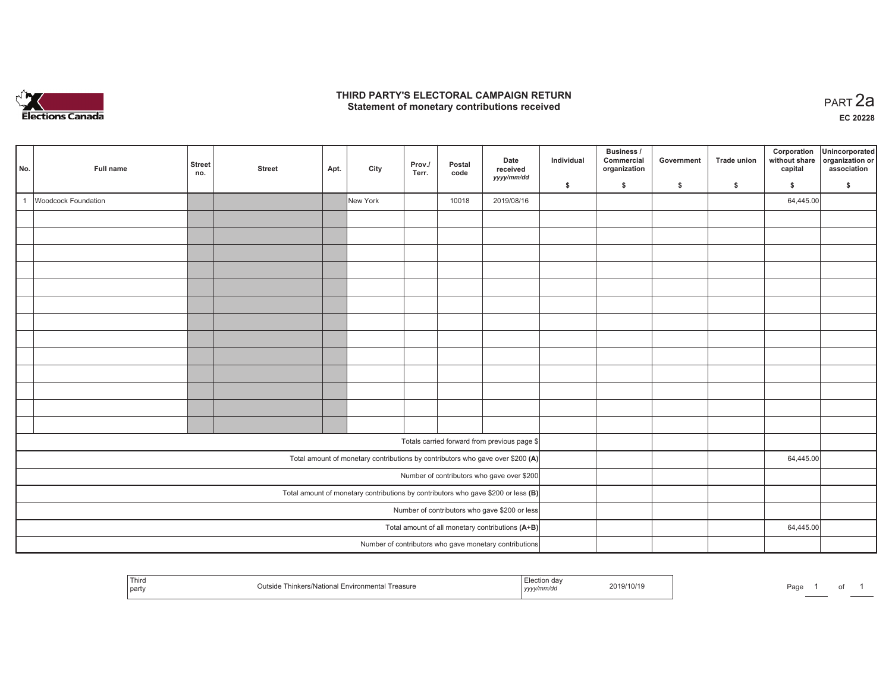

## **THIRD PARTY'S ELECTORAL CAMPAIGN RETURN HIRD PARTY'S ELECTORAL CAMPAIGN RETURN<br>Statement of monetary contributions received PART 2a**

| No.            | Full name           | <b>Street</b><br>no. | <b>Street</b> | Apt. | City     | Prov./<br>Terr. | Postal<br>code | Date<br>received<br>yyyy/mm/dd                                                      | Individual | Business /<br>Commercial<br>organization | Government | Trade union  | Corporation<br>without share<br>capital | Unincorporated<br>organization or<br>association |
|----------------|---------------------|----------------------|---------------|------|----------|-----------------|----------------|-------------------------------------------------------------------------------------|------------|------------------------------------------|------------|--------------|-----------------------------------------|--------------------------------------------------|
|                |                     |                      |               |      |          |                 |                |                                                                                     | \$         | \$                                       | \$         | $\mathsf{s}$ | \$                                      | \$                                               |
| $\overline{1}$ | Woodcock Foundation |                      |               |      | New York |                 | 10018          | 2019/08/16                                                                          |            |                                          |            |              | 64,445.00                               |                                                  |
|                |                     |                      |               |      |          |                 |                |                                                                                     |            |                                          |            |              |                                         |                                                  |
|                |                     |                      |               |      |          |                 |                |                                                                                     |            |                                          |            |              |                                         |                                                  |
|                |                     |                      |               |      |          |                 |                |                                                                                     |            |                                          |            |              |                                         |                                                  |
|                |                     |                      |               |      |          |                 |                |                                                                                     |            |                                          |            |              |                                         |                                                  |
|                |                     |                      |               |      |          |                 |                |                                                                                     |            |                                          |            |              |                                         |                                                  |
|                |                     |                      |               |      |          |                 |                |                                                                                     |            |                                          |            |              |                                         |                                                  |
|                |                     |                      |               |      |          |                 |                |                                                                                     |            |                                          |            |              |                                         |                                                  |
|                |                     |                      |               |      |          |                 |                |                                                                                     |            |                                          |            |              |                                         |                                                  |
|                |                     |                      |               |      |          |                 |                |                                                                                     |            |                                          |            |              |                                         |                                                  |
|                |                     |                      |               |      |          |                 |                |                                                                                     |            |                                          |            |              |                                         |                                                  |
|                |                     |                      |               |      |          |                 |                |                                                                                     |            |                                          |            |              |                                         |                                                  |
|                |                     |                      |               |      |          |                 |                |                                                                                     |            |                                          |            |              |                                         |                                                  |
|                |                     |                      |               |      |          |                 |                |                                                                                     |            |                                          |            |              |                                         |                                                  |
|                |                     |                      |               |      |          |                 |                | Totals carried forward from previous page \$                                        |            |                                          |            |              |                                         |                                                  |
|                |                     |                      |               |      |          |                 |                | Total amount of monetary contributions by contributors who gave over \$200 (A)      |            |                                          |            |              | 64,445.00                               |                                                  |
|                |                     |                      |               |      |          |                 |                | Number of contributors who gave over \$200                                          |            |                                          |            |              |                                         |                                                  |
|                |                     |                      |               |      |          |                 |                | Total amount of monetary contributions by contributors who gave \$200 or less $(B)$ |            |                                          |            |              |                                         |                                                  |
|                |                     |                      |               |      |          |                 |                | Number of contributors who gave \$200 or less                                       |            |                                          |            |              |                                         |                                                  |
|                |                     |                      |               |      |          |                 |                | Total amount of all monetary contributions (A+B)                                    |            |                                          |            |              | 64,445.00                               |                                                  |
|                |                     |                      |               |      |          |                 |                | Number of contributors who gave monetary contributions                              |            |                                          |            |              |                                         |                                                  |

| Third<br>Environmental<br>Thinkers/National E<br>Treasure<br>∵itsid⊾<br>party<br>ີ | 2019/10/19<br>yyyymmvao | Page |
|------------------------------------------------------------------------------------|-------------------------|------|
|------------------------------------------------------------------------------------|-------------------------|------|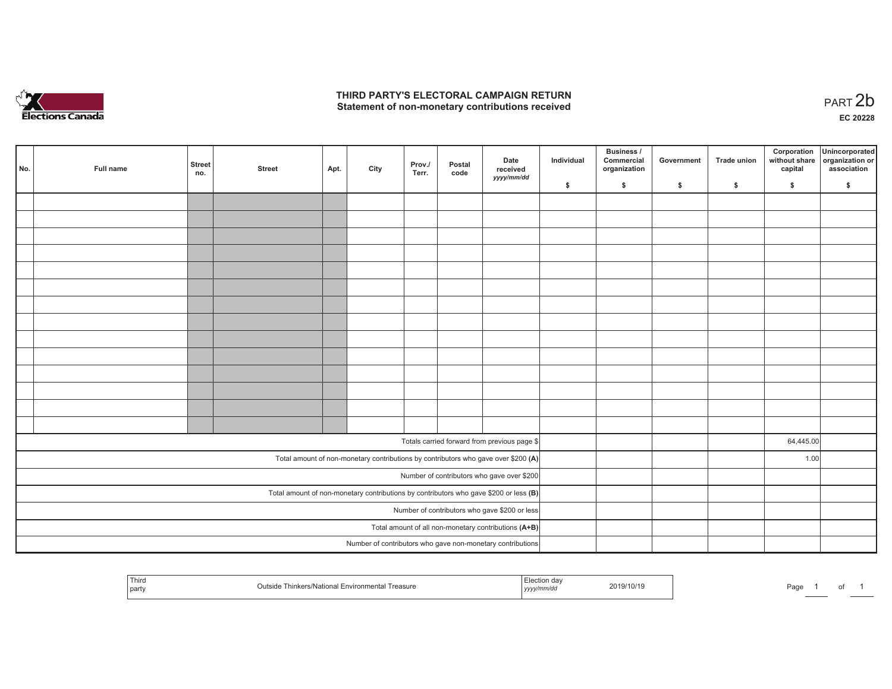

## **THIRD PARTY'S ELECTORAL CAMPAIGN RETURN**  THIRD PARTY'S ELECTORAL CAMPAIGN RETURN<br>Statement of non-monetary contributions received<br> **PART 2b**

| No. | Full name | <b>Street</b><br>no. | <b>Street</b> | Apt. | City | Prov./<br>Terr. | Postal<br>code | Date<br>received<br>yyyy/mm/dd                                                        | Individual | <b>Business /</b><br>Commercial<br>organization | Government | Trade union | Corporation<br>without share<br>capital | Unincorporated<br>organization or<br>association |
|-----|-----------|----------------------|---------------|------|------|-----------------|----------------|---------------------------------------------------------------------------------------|------------|-------------------------------------------------|------------|-------------|-----------------------------------------|--------------------------------------------------|
|     |           |                      |               |      |      |                 |                |                                                                                       | \$         | \$                                              | \$         | \$          | \$                                      | \$                                               |
|     |           |                      |               |      |      |                 |                |                                                                                       |            |                                                 |            |             |                                         |                                                  |
|     |           |                      |               |      |      |                 |                |                                                                                       |            |                                                 |            |             |                                         |                                                  |
|     |           |                      |               |      |      |                 |                |                                                                                       |            |                                                 |            |             |                                         |                                                  |
|     |           |                      |               |      |      |                 |                |                                                                                       |            |                                                 |            |             |                                         |                                                  |
|     |           |                      |               |      |      |                 |                |                                                                                       |            |                                                 |            |             |                                         |                                                  |
|     |           |                      |               |      |      |                 |                |                                                                                       |            |                                                 |            |             |                                         |                                                  |
|     |           |                      |               |      |      |                 |                |                                                                                       |            |                                                 |            |             |                                         |                                                  |
|     |           |                      |               |      |      |                 |                |                                                                                       |            |                                                 |            |             |                                         |                                                  |
|     |           |                      |               |      |      |                 |                |                                                                                       |            |                                                 |            |             |                                         |                                                  |
|     |           |                      |               |      |      |                 |                |                                                                                       |            |                                                 |            |             |                                         |                                                  |
|     |           |                      |               |      |      |                 |                |                                                                                       |            |                                                 |            |             |                                         |                                                  |
|     |           |                      |               |      |      |                 |                |                                                                                       |            |                                                 |            |             |                                         |                                                  |
|     |           |                      |               |      |      |                 |                |                                                                                       |            |                                                 |            |             |                                         |                                                  |
|     |           |                      |               |      |      |                 |                |                                                                                       |            |                                                 |            |             |                                         |                                                  |
|     |           |                      |               |      |      |                 |                | Totals carried forward from previous page \$                                          |            |                                                 |            |             | 64,445.00                               |                                                  |
|     |           |                      |               |      |      |                 |                |                                                                                       |            |                                                 |            |             |                                         |                                                  |
|     |           |                      |               |      |      |                 |                | Total amount of non-monetary contributions by contributors who gave over \$200 (A)    |            |                                                 |            |             | 1.00                                    |                                                  |
|     |           |                      |               |      |      |                 |                | Number of contributors who gave over \$200                                            |            |                                                 |            |             |                                         |                                                  |
|     |           |                      |               |      |      |                 |                | Total amount of non-monetary contributions by contributors who gave \$200 or less (B) |            |                                                 |            |             |                                         |                                                  |
|     |           |                      |               |      |      |                 |                | Number of contributors who gave \$200 or less                                         |            |                                                 |            |             |                                         |                                                  |
|     |           |                      |               |      |      |                 |                | Total amount of all non-monetary contributions (A+B)                                  |            |                                                 |            |             |                                         |                                                  |
|     |           |                      |               |      |      |                 |                | Number of contributors who gave non-monetary contributions                            |            |                                                 |            |             |                                         |                                                  |

| Third<br><b>Environn</b><br>nvational i<br>asure<br>party<br>  ソソソ」 | Page |
|---------------------------------------------------------------------|------|
|---------------------------------------------------------------------|------|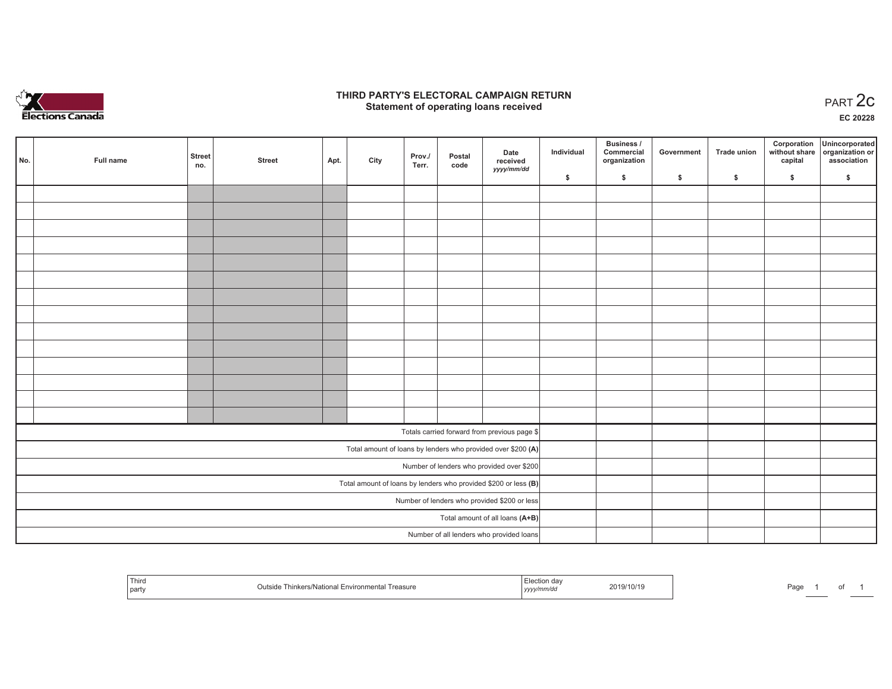

## **THIRD PARTY'S ELECTORAL CAMPAIGN RETURN STATE:** PARTY'S ELECTORAL CAMPAIGN RETURN<br>
Statement of operating loans received

**EC 20228**

 $\sim$ 

| No. | Full name | <b>Street</b><br>no. | <b>Street</b> | Apt. | City | Prov./<br>Terr. | Postal<br>code | Date<br>received<br>yyyy/mm/dd                                  | Individual | <b>Business /</b><br>Commercial<br>organization | Government | <b>Trade union</b> | Corporation<br>capital | Unincorporated<br>without share organization or<br>association |
|-----|-----------|----------------------|---------------|------|------|-----------------|----------------|-----------------------------------------------------------------|------------|-------------------------------------------------|------------|--------------------|------------------------|----------------------------------------------------------------|
|     |           |                      |               |      |      |                 |                |                                                                 | \$         | \$                                              | \$         | \$                 | \$                     | \$                                                             |
|     |           |                      |               |      |      |                 |                |                                                                 |            |                                                 |            |                    |                        |                                                                |
|     |           |                      |               |      |      |                 |                |                                                                 |            |                                                 |            |                    |                        |                                                                |
|     |           |                      |               |      |      |                 |                |                                                                 |            |                                                 |            |                    |                        |                                                                |
|     |           |                      |               |      |      |                 |                |                                                                 |            |                                                 |            |                    |                        |                                                                |
|     |           |                      |               |      |      |                 |                |                                                                 |            |                                                 |            |                    |                        |                                                                |
|     |           |                      |               |      |      |                 |                |                                                                 |            |                                                 |            |                    |                        |                                                                |
|     |           |                      |               |      |      |                 |                |                                                                 |            |                                                 |            |                    |                        |                                                                |
|     |           |                      |               |      |      |                 |                |                                                                 |            |                                                 |            |                    |                        |                                                                |
|     |           |                      |               |      |      |                 |                |                                                                 |            |                                                 |            |                    |                        |                                                                |
|     |           |                      |               |      |      |                 |                |                                                                 |            |                                                 |            |                    |                        |                                                                |
|     |           |                      |               |      |      |                 |                |                                                                 |            |                                                 |            |                    |                        |                                                                |
|     |           |                      |               |      |      |                 |                |                                                                 |            |                                                 |            |                    |                        |                                                                |
|     |           |                      |               |      |      |                 |                |                                                                 |            |                                                 |            |                    |                        |                                                                |
|     |           |                      |               |      |      |                 |                |                                                                 |            |                                                 |            |                    |                        |                                                                |
|     |           |                      |               |      |      |                 |                | Totals carried forward from previous page \$                    |            |                                                 |            |                    |                        |                                                                |
|     |           |                      |               |      |      |                 |                | Total amount of loans by lenders who provided over \$200 (A)    |            |                                                 |            |                    |                        |                                                                |
|     |           |                      |               |      |      |                 |                | Number of lenders who provided over \$200                       |            |                                                 |            |                    |                        |                                                                |
|     |           |                      |               |      |      |                 |                | Total amount of loans by lenders who provided \$200 or less (B) |            |                                                 |            |                    |                        |                                                                |
|     |           |                      |               |      |      |                 |                | Number of lenders who provided \$200 or less                    |            |                                                 |            |                    |                        |                                                                |
|     |           |                      |               |      |      |                 |                | Total amount of all loans (A+B)                                 |            |                                                 |            |                    |                        |                                                                |
|     |           |                      |               |      |      |                 |                | Number of all lenders who provided loans                        |            |                                                 |            |                    |                        |                                                                |

|  | Third<br>easure<br>nar<br>511V | 219/10/1<br>,,,,, | Pag⊾ |
|--|--------------------------------|-------------------|------|
|--|--------------------------------|-------------------|------|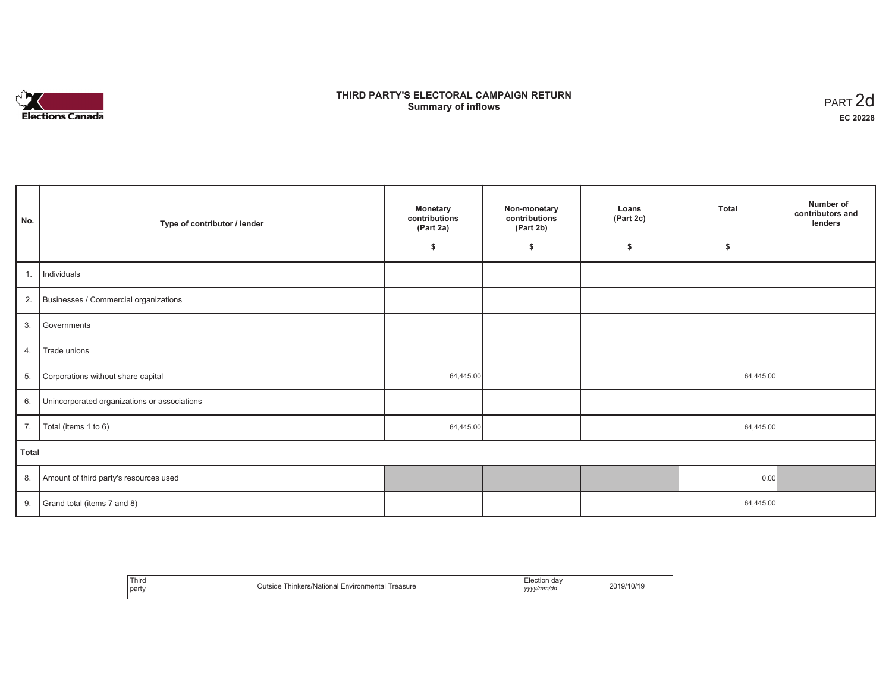

# **THIRD PARTY'S ELECTORAL CAMPAIGN RETURN S** ELECTORAL CAMPAIGN RETURN<br>Summary of inflows PART 2d

| No.   | Type of contributor / lender                 | <b>Monetary</b><br>contributions<br>(Part 2a) | Non-monetary<br>contributions<br>(Part 2b) | Loans<br>(Part 2c) | <b>Total</b> | Number of<br>contributors and<br>lenders |  |  |
|-------|----------------------------------------------|-----------------------------------------------|--------------------------------------------|--------------------|--------------|------------------------------------------|--|--|
|       |                                              | \$                                            | \$                                         | \$                 | \$           |                                          |  |  |
| 1.    | Individuals                                  |                                               |                                            |                    |              |                                          |  |  |
|       | 2. Businesses / Commercial organizations     |                                               |                                            |                    |              |                                          |  |  |
| 3.    | Governments                                  |                                               |                                            |                    |              |                                          |  |  |
| 4.    | Trade unions                                 |                                               |                                            |                    |              |                                          |  |  |
| 5.    | Corporations without share capital           | 64,445.00                                     |                                            |                    | 64,445.00    |                                          |  |  |
| 6.    | Unincorporated organizations or associations |                                               |                                            |                    |              |                                          |  |  |
| 7.    | Total (items 1 to 6)                         | 64,445.00                                     |                                            |                    | 64,445.00    |                                          |  |  |
| Total |                                              |                                               |                                            |                    |              |                                          |  |  |
| 8.    | Amount of third party's resources used       |                                               |                                            |                    | 0.00         |                                          |  |  |
| 9.    | Grand total (items 7 and 8)                  |                                               |                                            |                    | 64,445.00    |                                          |  |  |

| Third<br>party | Thinkers/National<br>Environmental<br>Treasure<br>Outside | Election dav<br>' yyyy/mm/do<br>,,, | 2019/10/19 |
|----------------|-----------------------------------------------------------|-------------------------------------|------------|
|----------------|-----------------------------------------------------------|-------------------------------------|------------|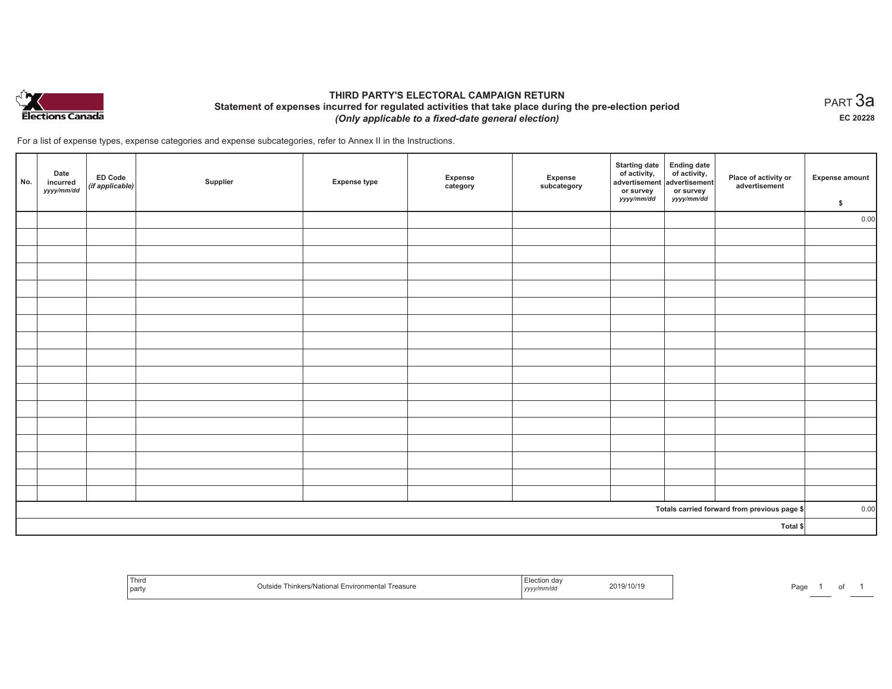

# **THIRD PARTY'S ELECTORAL CAMPAIGN RETURN Statement of expenses incurred for regulated activities that take place during the pre-election period**  *(Only applicable to a fixed-date general election)*

For a list of expense types, expense categories and expense subcategories, refer to Annex II in the Instructions.

| No.      | Date<br>incurred<br>yyyy/mm/dd | $E$ D Code<br>(if applicable) | Supplier | <b>Expense type</b> | Expense<br>category | Expense<br>subcategory | <b>Starting date</b><br>of activity,<br>advertisement<br>or survey<br>yyyy/mm/dd | Ending date<br>of activity,<br>advertisement<br>or survey<br>yyyy/mm/dd | Place of activity or<br>advertisement        | <b>Expense amount</b><br>\$ |
|----------|--------------------------------|-------------------------------|----------|---------------------|---------------------|------------------------|----------------------------------------------------------------------------------|-------------------------------------------------------------------------|----------------------------------------------|-----------------------------|
|          |                                |                               |          |                     |                     |                        |                                                                                  |                                                                         |                                              | 0.00                        |
|          |                                |                               |          |                     |                     |                        |                                                                                  |                                                                         |                                              |                             |
|          |                                |                               |          |                     |                     |                        |                                                                                  |                                                                         |                                              |                             |
|          |                                |                               |          |                     |                     |                        |                                                                                  |                                                                         |                                              |                             |
|          |                                |                               |          |                     |                     |                        |                                                                                  |                                                                         |                                              |                             |
|          |                                |                               |          |                     |                     |                        |                                                                                  |                                                                         |                                              |                             |
|          |                                |                               |          |                     |                     |                        |                                                                                  |                                                                         |                                              |                             |
|          |                                |                               |          |                     |                     |                        |                                                                                  |                                                                         |                                              |                             |
|          |                                |                               |          |                     |                     |                        |                                                                                  |                                                                         |                                              |                             |
|          |                                |                               |          |                     |                     |                        |                                                                                  |                                                                         |                                              |                             |
|          |                                |                               |          |                     |                     |                        |                                                                                  |                                                                         |                                              |                             |
|          |                                |                               |          |                     |                     |                        |                                                                                  |                                                                         |                                              |                             |
|          |                                |                               |          |                     |                     |                        |                                                                                  |                                                                         |                                              |                             |
|          |                                |                               |          |                     |                     |                        |                                                                                  |                                                                         |                                              |                             |
|          |                                |                               |          |                     |                     |                        |                                                                                  |                                                                         |                                              |                             |
|          |                                |                               |          |                     |                     |                        |                                                                                  |                                                                         |                                              |                             |
|          |                                |                               |          |                     |                     |                        |                                                                                  |                                                                         |                                              |                             |
|          |                                |                               |          |                     |                     |                        |                                                                                  |                                                                         | Totals carried forward from previous page \$ | 0.00                        |
| Total \$ |                                |                               |          |                     |                     |                        |                                                                                  |                                                                         |                                              |                             |

| `Thiru<br>part | $ + -$<br>reasure<br>Nationa | ∠019/10/1 <sup>r</sup><br>.<br>the contract of the contract of the contract of<br>. | ∍~<br>ъu |
|----------------|------------------------------|-------------------------------------------------------------------------------------|----------|
|----------------|------------------------------|-------------------------------------------------------------------------------------|----------|

 $_{\sf PART}$ 3a **EC 20228**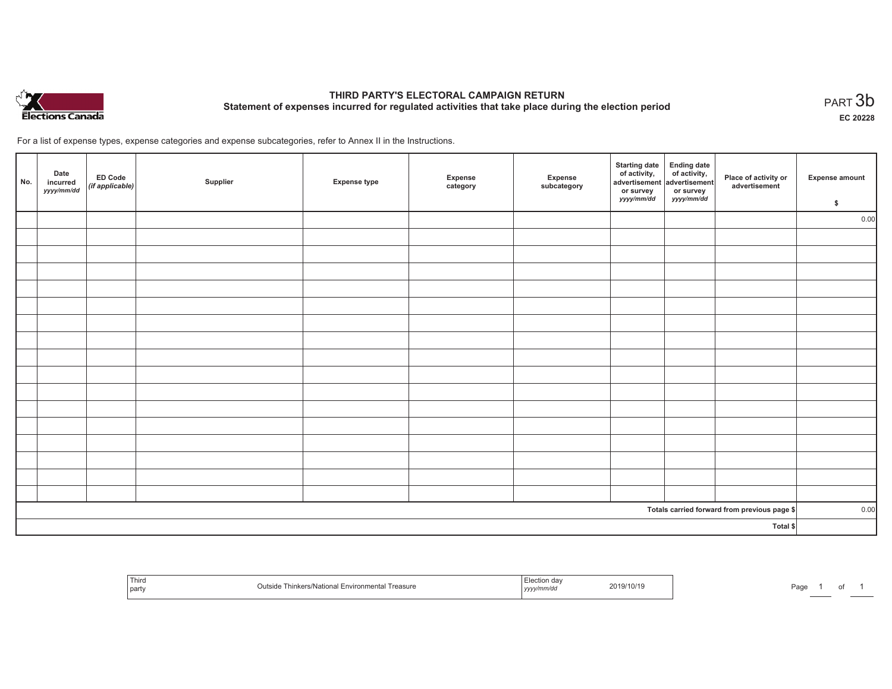

# **THIRD PARTY'S ELECTORAL CAMPAIGN RETURN Statement of expenses incurred for regulated activities that take place during the election period**<br>PART  $3\mathsf{b}$

**EC 20228**

For a list of expense types, expense categories and expense subcategories, refer to Annex II in the Instructions.

| No.      | Date<br>incurred<br>yyyy/mm/dd | ED Code<br>(if applicable) | Supplier | <b>Expense type</b> | Expense<br>category | Expense<br>subcategory | <b>Starting date</b><br>of activity,<br>advertisement<br>or survey<br>yyyy/mm/dd | Ending date<br>of activity,<br>advertisement<br>or survey<br>yyyy/mm/dd | Place of activity or<br>advertisement        | <b>Expense amount</b><br>\$ |
|----------|--------------------------------|----------------------------|----------|---------------------|---------------------|------------------------|----------------------------------------------------------------------------------|-------------------------------------------------------------------------|----------------------------------------------|-----------------------------|
|          |                                |                            |          |                     |                     |                        |                                                                                  |                                                                         |                                              | 0.00                        |
|          |                                |                            |          |                     |                     |                        |                                                                                  |                                                                         |                                              |                             |
|          |                                |                            |          |                     |                     |                        |                                                                                  |                                                                         |                                              |                             |
|          |                                |                            |          |                     |                     |                        |                                                                                  |                                                                         |                                              |                             |
|          |                                |                            |          |                     |                     |                        |                                                                                  |                                                                         |                                              |                             |
|          |                                |                            |          |                     |                     |                        |                                                                                  |                                                                         |                                              |                             |
|          |                                |                            |          |                     |                     |                        |                                                                                  |                                                                         |                                              |                             |
|          |                                |                            |          |                     |                     |                        |                                                                                  |                                                                         |                                              |                             |
|          |                                |                            |          |                     |                     |                        |                                                                                  |                                                                         |                                              |                             |
|          |                                |                            |          |                     |                     |                        |                                                                                  |                                                                         |                                              |                             |
|          |                                |                            |          |                     |                     |                        |                                                                                  |                                                                         |                                              |                             |
|          |                                |                            |          |                     |                     |                        |                                                                                  |                                                                         |                                              |                             |
|          |                                |                            |          |                     |                     |                        |                                                                                  |                                                                         |                                              |                             |
|          |                                |                            |          |                     |                     |                        |                                                                                  |                                                                         |                                              |                             |
|          |                                |                            |          |                     |                     |                        |                                                                                  |                                                                         |                                              |                             |
|          |                                |                            |          |                     |                     |                        |                                                                                  |                                                                         |                                              |                             |
|          |                                |                            |          |                     |                     |                        |                                                                                  |                                                                         |                                              |                             |
|          |                                |                            |          |                     |                     |                        |                                                                                  |                                                                         | Totals carried forward from previous page \$ | 0.00                        |
| Total \$ |                                |                            |          |                     |                     |                        |                                                                                  |                                                                         |                                              |                             |

|  | Third<br>Treasure<br>' Environmental<br>iinkers/Nat<br>™ona∟<br>party | 019/10/19<br>. | ، ∼ ⊏ا<br>-au |
|--|-----------------------------------------------------------------------|----------------|---------------|
|--|-----------------------------------------------------------------------|----------------|---------------|